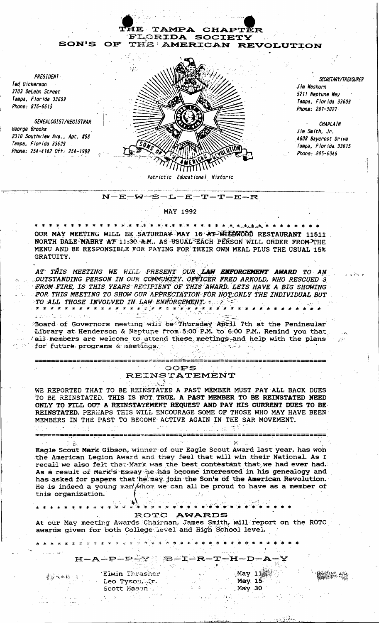

**MAY 1992** 

OUR MAY MEETING WILL BE SATURDAY MAY 16 AT WILDWOOD RESTAURANT 11511 NORTH DALE MABRY AT 11:30 A.M. AS USUAL EACH PERSON WILL ORDER FROM THE MENU AND BE RESPONSIBLE FOR PAYING FOR THEIR OWN MEAL PLUS THE USUAL 15% GRATUITY.

AT THIS MEETING WE WILL PRESENT OUR LAW ENFORCEMENT AWARD TO AN OUTSTANDING PERSON IN OUR COMMUNITY. OFFICER FRED ARNOLD, WHO RESCUED 3 FROM FIRE, IS THIS YEARS RECIPIENT OF THIS AWARD. LETS HAVE A BIG SHOWING FOR THIS MEETING TO SHOW OUR APPRECIATION FOR NOT ONLY THE INDIVIDUAL BUT TO ALL THOSE INVOLVED IN LAW ENFORCEMENT. 

Board of Governors meeting will be Thursday April 7th at the Peninsular<br>Library at Henderson & Neptune from 5:00 P.M. to 6:00 P.M. Remind you that Fall members are welcome to attend these meetings and help with the plans بالتسافيل the for future programs & meetings. my.

#### ----------------and the state OOPS REINSTATEMENT

WE REPORTED THAT TO BE REINSTATED A PAST MEMBER MUST PAY ALL BACK DUES TO BE REINSTATED. THIS IS NOT TRUE. A PAST MEMBER TO BE REINSTATED NEED ONLY TO FILL OUT A REINSTATEMENT REQUEST AND PAY HIS CURRENT DUES TO BE REINSTATED. PERMAPS THIS WILL ENCOURAGE SOME OF THOSE WHO MAY HAVE BEEN MEMBERS IN THE PAST TO BECOME ACTIVE AGAIN IN THE SAR MOVEMENT.

 $\mathbb{C}^{\mathbb{C}}$  Mi Eagle Scout Mark Gibson, winner of our Eagle Scout Award last year, has won the American Legion Award and they feel that will win their National. As I recall we also felt that Mark was the best contestant that we had ever had. As a result of Mark's Essay he has become interested in his genealogy and has asked for papers that he may join the Son's of the American Revolution. He is indeed a young man whom we can all be proud to have as a member of this organization.

## ▓▓▒▒<sub>▓▒</sub><sub></sup><sub>▓</sub>▒<sub></sub><sub></sub><sub></sub></sub>

و هم دارد.<br>اگر از مرکزی ایران

\* \* \* \* \* \* \* \* \* \* \* \* \* \*

## ROTC AWARDS

At our May meeting Awards Chairman, James Smith, will report on the ROTC awards given for both College level and High School level.

 $H - A - P - P - Y$  B-I-R-T-H-D-A

**参照不平移** (本)

 $\gamma$  in  $\mathbb{R}^2$ 

and service is that with the

'Elwin Thrasher Leo Tyson, Jr. Scott Mason

\* \* \* \* \* \* \* \* \* \* \* \* \* \* \* \*

 $M$ ay 1 $1\%$ May 15 May 30